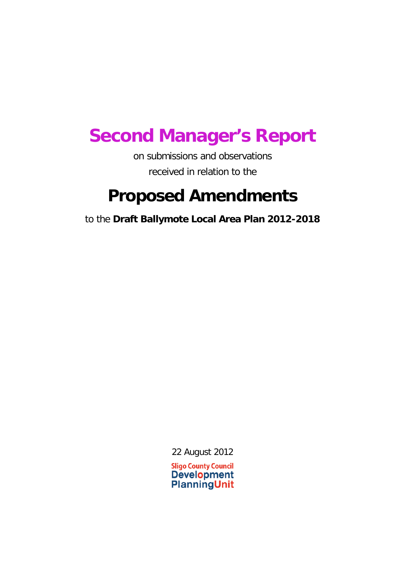## **Second Manager's Report**

on submissions and observations received in relation to the

## **Proposed Amendments**

to the **Draft Ballymote Local Area Plan 2012-2018**

22 August 2012

**Sligo County Council Development PlanningUnit**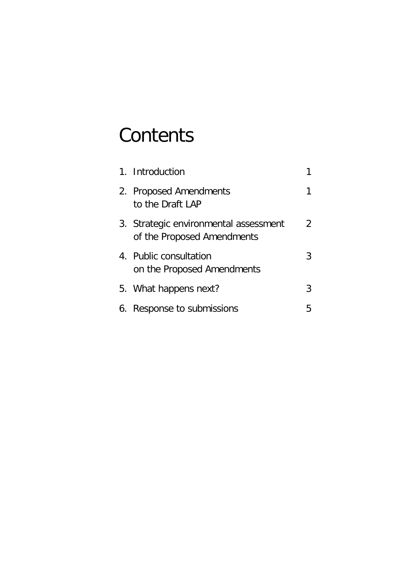# **Contents**

| 1. Introduction                                                     |   |
|---------------------------------------------------------------------|---|
| 2. Proposed Amendments<br>to the Draft LAP                          |   |
| 3. Strategic environmental assessment<br>of the Proposed Amendments | 2 |
| 4. Public consultation<br>on the Proposed Amendments                | 3 |
| 5. What happens next?                                               | 3 |
| 6. Response to submissions                                          | 5 |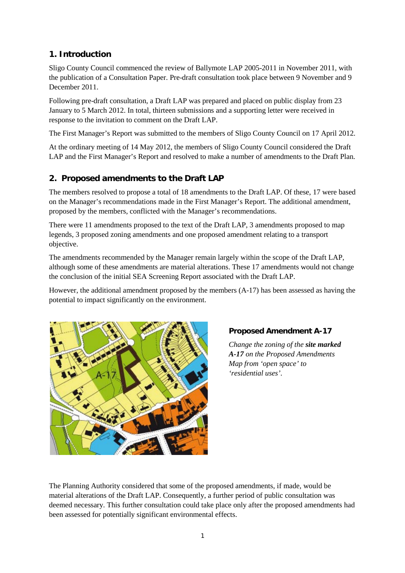## **1. Introduction**

Sligo County Council commenced the review of Ballymote LAP 2005-2011 in November 2011, with the publication of a Consultation Paper. Pre-draft consultation took place between 9 November and 9 December 2011.

Following pre-draft consultation, a Draft LAP was prepared and placed on public display from 23 January to 5 March 2012. In total, thirteen submissions and a supporting letter were received in response to the invitation to comment on the Draft LAP.

The First Manager's Report was submitted to the members of Sligo County Council on 17 April 2012.

At the ordinary meeting of 14 May 2012, the members of Sligo County Council considered the Draft LAP and the First Manager's Report and resolved to make a number of amendments to the Draft Plan.

## **2. Proposed amendments to the Draft LAP**

The members resolved to propose a total of 18 amendments to the Draft LAP. Of these, 17 were based on the Manager's recommendations made in the First Manager's Report. The additional amendment, proposed by the members, conflicted with the Manager's recommendations.

There were 11 amendments proposed to the text of the Draft LAP, 3 amendments proposed to map legends, 3 proposed zoning amendments and one proposed amendment relating to a transport objective.

The amendments recommended by the Manager remain largely within the scope of the Draft LAP, although some of these amendments are material alterations. These 17 amendments would not change the conclusion of the initial SEA Screening Report associated with the Draft LAP.

However, the additional amendment proposed by the members (A-17) has been assessed as having the potential to impact significantly on the environment.



## **Proposed Amendment A-17**

*Change the zoning of the site marked A-17 on the Proposed Amendments Map from 'open space' to 'residential uses'.*

The Planning Authority considered that some of the proposed amendments, if made, would be material alterations of the Draft LAP. Consequently, a further period of public consultation was deemed necessary. This further consultation could take place only after the proposed amendments had been assessed for potentially significant environmental effects.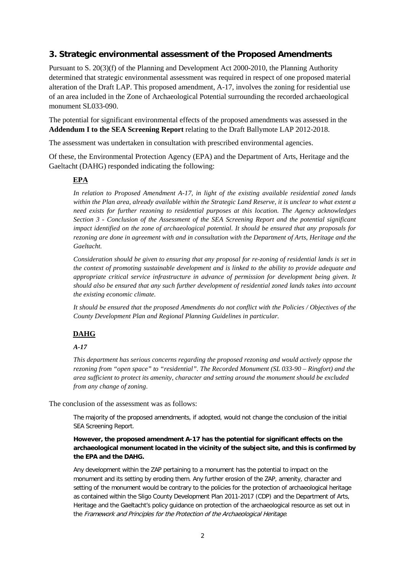## **3. Strategic environmental assessment of the Proposed Amendments**

Pursuant to S. 20(3)(f) of the Planning and Development Act 2000-2010, the Planning Authority determined that strategic environmental assessment was required in respect of one proposed material alteration of the Draft LAP. This proposed amendment, A-17, involves the zoning for residential use of an area included in the Zone of Archaeological Potential surrounding the recorded archaeological monument SL033-090.

The potential for significant environmental effects of the proposed amendments was assessed in the **Addendum I to the SEA Screening Report** relating to the Draft Ballymote LAP 2012-2018.

The assessment was undertaken in consultation with prescribed environmental agencies.

Of these, the Environmental Protection Agency (EPA) and the Department of Arts, Heritage and the Gaeltacht (DAHG) responded indicating the following:

#### **EPA**

*In relation to Proposed Amendment A-17, in light of the existing available residential zoned lands within the Plan area, already available within the Strategic Land Reserve, it is unclear to what extent a need exists for further rezoning to residential purposes at this location. The Agency acknowledges Section 3 - Conclusion of the Assessment of the SEA Screening Report and the potential significant impact identified on the zone of archaeological potential. It should be ensured that any proposals for rezoning are done in agreement with and in consultation with the Department of Arts, Heritage and the Gaeltacht.* 

*Consideration should be given to ensuring that any proposal for re-zoning of residential lands is set in the context of promoting sustainable development and is linked to the ability to provide adequate and appropriate critical service infrastructure in advance of permission for development being given. It should also be ensured that any such further development of residential zoned lands takes into account the existing economic climate.*

*It should be ensured that the proposed Amendments do not conflict with the Policies / Objectives of the County Development Plan and Regional Planning Guidelines in particular.*

## **DAHG**

#### *A-17*

*This department has serious concerns regarding the proposed rezoning and would actively oppose the rezoning from "open space" to "residential". The Recorded Monument (SL 033-90 – Ringfort) and the area sufficient to protect its amenity, character and setting around the monument should be excluded from any change of zoning*.

The conclusion of the assessment was as follows:

The majority of the proposed amendments, if adopted, would not change the conclusion of the initial SEA Screening Report.

**However, the proposed amendment A-17 has the potential for significant effects on the archaeological monument located in the vicinity of the subject site, and this is confirmed by the EPA and the DAHG.**

Any development within the ZAP pertaining to a monument has the potential to impact on the monument and its setting by eroding them. Any further erosion of the ZAP, amenity, character and setting of the monument would be contrary to the policies for the protection of archaeological heritage as contained within the Sligo County Development Plan 2011-2017 (CDP) and the Department of Arts, Heritage and the Gaeltacht's policy guidance on protection of the archaeological resource as set out in the Framework and Principles for the Protection of the Archaeological Heritage.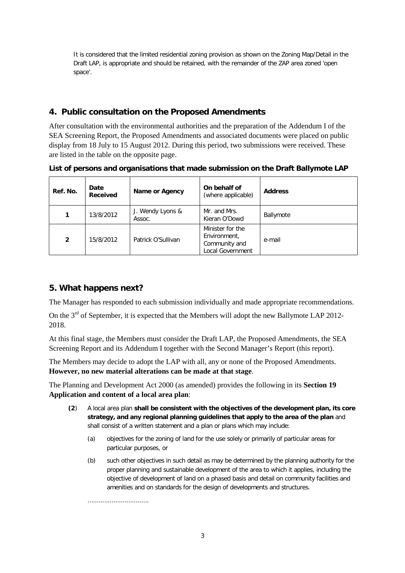It is considered that the limited residential zoning provision as shown on the Zoning Map/Detail in the Draft LAP, is appropriate and should be retained, with the remainder of the ZAP area zoned 'open space'.

## **4. Public consultation on the Proposed Amendments**

After consultation with the environmental authorities and the preparation of the Addendum I of the SEA Screening Report, the Proposed Amendments and associated documents were placed on public display from 18 July to 15 August 2012. During this period, two submissions were received. These are listed in the table on the opposite page.

**Ref. No. Date Rame or Agency On behalf of Name or Agency** (where applicable) **Address <sup>1</sup>** 13/8/2012 J. Wendy Lyons & Assoc. Mr. and Mrs. Kieran O'Dowd Ballymote Minister for the

**Environment** Community and Local Government

e-mail

**List of persons and organisations that made submission on the Draft Ballymote LAP**

## **5. What happens next?**

**2** 15/8/2012 Patrick O'Sullivan

The Manager has responded to each submission individually and made appropriate recommendations.

On the  $3<sup>rd</sup>$  of September, it is expected that the Members will adopt the new Ballymote LAP 2012-2018.

At this final stage, the Members must consider the Draft LAP, the Proposed Amendments, the SEA Screening Report and its Addendum I together with the Second Manager's Report (this report).

The Members may decide to adopt the LAP with all, any or none of the Proposed Amendments. **However, no new material alterations can be made at that stage**.

The Planning and Development Act 2000 (as amended) provides the following in its **Section 19 Application and content of a local area plan**:

- **(2**) A local area plan **shall be consistent with the objectives of the development plan, its core strategy, and any regional planning guidelines that apply to the area of the plan** and shall consist of a written statement and a plan or plans which may include:
	- (a) objectives for the zoning of land for the use solely or primarily of particular areas for particular purposes, or
	- (b) such other objectives in such detail as may be determined by the planning authority for the proper planning and sustainable development of the area to which it applies, including the objective of development of land on a phased basis and detail on community facilities and amenities and on standards for the design of developments and structures.

.................................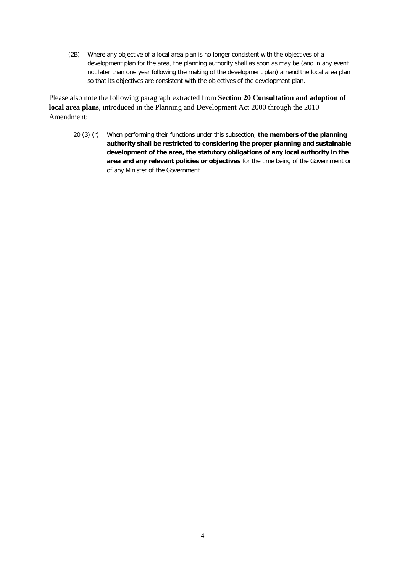(2B) Where any objective of a local area plan is no longer consistent with the objectives of a development plan for the area, the planning authority shall as soon as may be (and in any event not later than one year following the making of the development plan) amend the local area plan so that its objectives are consistent with the objectives of the development plan.

Please also note the following paragraph extracted from **Section 20 Consultation and adoption of local area plans**, introduced in the Planning and Development Act 2000 through the 2010 Amendment:

20 (3) (r) When performing their functions under this subsection, **the members of the planning authority shall be restricted to considering the proper planning and sustainable development of the area, the statutory obligations of any local authority in the area and any relevant policies or objectives** for the time being of the Government or of any Minister of the Government.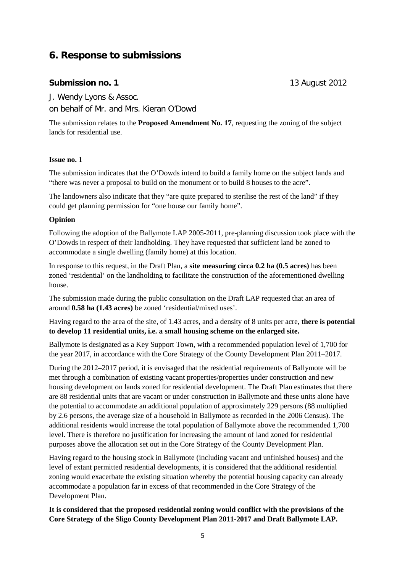## **6. Response to submissions**

#### **Submission no. 1** 13 August 2012

J. Wendy Lyons & Assoc.

on behalf of Mr. and Mrs. Kieran O'Dowd

The submission relates to the **Proposed Amendment No. 17**, requesting the zoning of the subject lands for residential use.

#### **Issue no. 1**

The submission indicates that the O'Dowds intend to build a family home on the subject lands and "there was never a proposal to build on the monument or to build 8 houses to the acre".

The landowners also indicate that they "are quite prepared to sterilise the rest of the land" if they could get planning permission for "one house our family home".

#### **Opinion**

Following the adoption of the Ballymote LAP 2005-2011, pre-planning discussion took place with the O'Dowds in respect of their landholding. They have requested that sufficient land be zoned to accommodate a single dwelling (family home) at this location.

In response to this request, in the Draft Plan, a **site measuring circa 0.2 ha (0.5 acres)** has been zoned 'residential' on the landholding to facilitate the construction of the aforementioned dwelling house.

The submission made during the public consultation on the Draft LAP requested that an area of around **0.58 ha (1.43 acres)** be zoned 'residential/mixed uses'.

Having regard to the area of the site, of 1.43 acres, and a density of 8 units per acre, **there is potential to develop 11 residential units, i.e. a small housing scheme on the enlarged site.**

Ballymote is designated as a Key Support Town, with a recommended population level of 1,700 for the year 2017, in accordance with the Core Strategy of the County Development Plan 2011–2017.

During the 2012–2017 period, it is envisaged that the residential requirements of Ballymote will be met through a combination of existing vacant properties/properties under construction and new housing development on lands zoned for residential development. The Draft Plan estimates that there are 88 residential units that are vacant or under construction in Ballymote and these units alone have the potential to accommodate an additional population of approximately 229 persons (88 multiplied by 2.6 persons, the average size of a household in Ballymote as recorded in the 2006 Census). The additional residents would increase the total population of Ballymote above the recommended 1,700 level. There is therefore no justification for increasing the amount of land zoned for residential purposes above the allocation set out in the Core Strategy of the County Development Plan.

Having regard to the housing stock in Ballymote (including vacant and unfinished houses) and the level of extant permitted residential developments, it is considered that the additional residential zoning would exacerbate the existing situation whereby the potential housing capacity can already accommodate a population far in excess of that recommended in the Core Strategy of the Development Plan.

**It is considered that the proposed residential zoning would conflict with the provisions of the Core Strategy of the Sligo County Development Plan 2011-2017 and Draft Ballymote LAP.**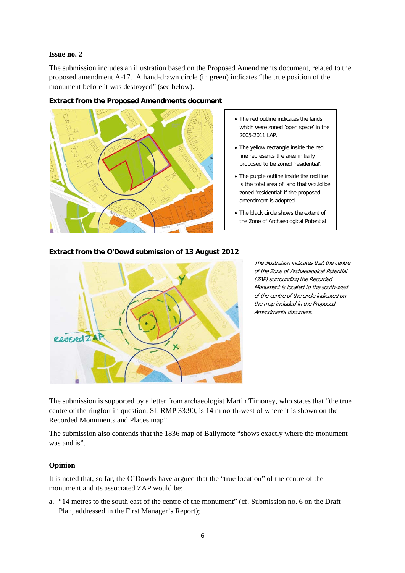#### **Issue no. 2**

The submission includes an illustration based on the Proposed Amendments document, related to the proposed amendment A-17. A hand-drawn circle (in green) indicates "the true position of the monument before it was destroyed" (see below).



#### **Extract from the Proposed Amendments document**

- The red outline indicates the lands which were zoned 'open space' in the 2005-2011 LAP.
- The yellow rectangle inside the red line represents the area initially proposed to be zoned 'residential'.
- The purple outline inside the red line is the total area of land that would be zoned 'residential' if the proposed amendment is adopted.
- The black circle shows the extent of the Zone of Archaeological Potential

#### **Extract from the O'Dowd submission of 13 August 2012**



The illustration indicates that the centre of the Zone of Archaeological Potential (ZAP) surrounding the Recorded Monument is located to the south-west of the centre of the circle indicated on the map included in the Proposed Amendments document.

The submission is supported by a letter from archaeologist Martin Timoney, who states that "the true centre of the ringfort in question, SL RMP 33:90, is 14 m north-west of where it is shown on the Recorded Monuments and Places map".

The submission also contends that the 1836 map of Ballymote "shows exactly where the monument was and is".

#### **Opinion**

It is noted that, so far, the O'Dowds have argued that the "true location" of the centre of the monument and its associated ZAP would be:

a. "14 metres to the south east of the centre of the monument" (cf. Submission no. 6 on the Draft Plan, addressed in the First Manager's Report);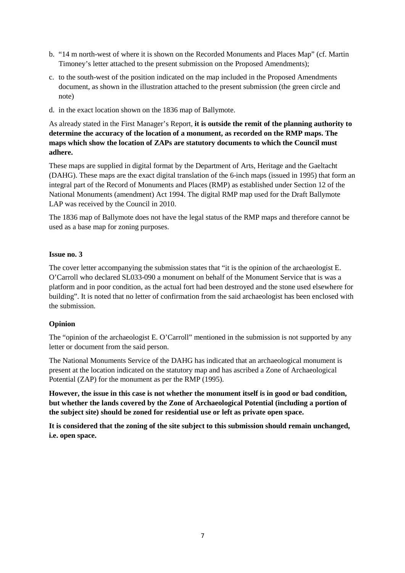- b. "14 m north-west of where it is shown on the Recorded Monuments and Places Map" (cf. Martin Timoney's letter attached to the present submission on the Proposed Amendments);
- c. to the south-west of the position indicated on the map included in the Proposed Amendments document, as shown in the illustration attached to the present submission (the green circle and note)
- d. in the exact location shown on the 1836 map of Ballymote.

As already stated in the First Manager's Report, **it is outside the remit of the planning authority to determine the accuracy of the location of a monument, as recorded on the RMP maps. The maps which show the location of ZAPs are statutory documents to which the Council must adhere.**

These maps are supplied in digital format by the Department of Arts, Heritage and the Gaeltacht (DAHG). These maps are the exact digital translation of the 6-inch maps (issued in 1995) that form an integral part of the Record of Monuments and Places (RMP) as established under Section 12 of the National Monuments (amendment) Act 1994. The digital RMP map used for the Draft Ballymote LAP was received by the Council in 2010.

The 1836 map of Ballymote does not have the legal status of the RMP maps and therefore cannot be used as a base map for zoning purposes.

#### **Issue no. 3**

The cover letter accompanying the submission states that "it is the opinion of the archaeologist E. O'Carroll who declared SL033-090 a monument on behalf of the Monument Service that is was a platform and in poor condition, as the actual fort had been destroyed and the stone used elsewhere for building". It is noted that no letter of confirmation from the said archaeologist has been enclosed with the submission.

#### **Opinion**

The "opinion of the archaeologist E. O'Carroll" mentioned in the submission is not supported by any letter or document from the said person.

The National Monuments Service of the DAHG has indicated that an archaeological monument is present at the location indicated on the statutory map and has ascribed a Zone of Archaeological Potential (ZAP) for the monument as per the RMP (1995).

**However, the issue in this case is not whether the monument itself is in good or bad condition, but whether the lands covered by the Zone of Archaeological Potential (including a portion of the subject site) should be zoned for residential use or left as private open space.**

**It is considered that the zoning of the site subject to this submission should remain unchanged, i.e. open space.**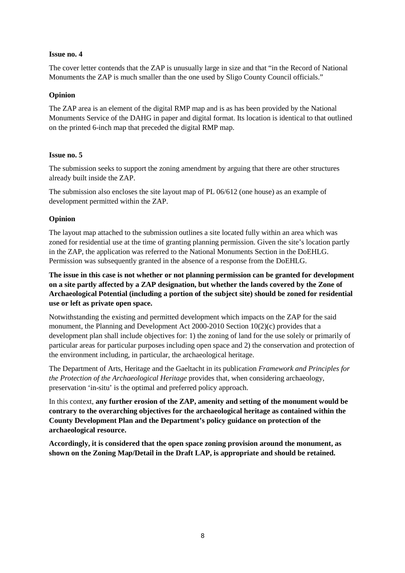#### **Issue no. 4**

The cover letter contends that the ZAP is unusually large in size and that "in the Record of National Monuments the ZAP is much smaller than the one used by Sligo County Council officials."

#### **Opinion**

The ZAP area is an element of the digital RMP map and is as has been provided by the National Monuments Service of the DAHG in paper and digital format. Its location is identical to that outlined on the printed 6-inch map that preceded the digital RMP map.

#### **Issue no. 5**

The submission seeks to support the zoning amendment by arguing that there are other structures already built inside the ZAP.

The submission also encloses the site layout map of PL 06/612 (one house) as an example of development permitted within the ZAP.

#### **Opinion**

The layout map attached to the submission outlines a site located fully within an area which was zoned for residential use at the time of granting planning permission. Given the site's location partly in the ZAP, the application was referred to the National Monuments Section in the DoEHLG. Permission was subsequently granted in the absence of a response from the DoEHLG.

**The issue in this case is not whether or not planning permission can be granted for development on a site partly affected by a ZAP designation, but whether the lands covered by the Zone of Archaeological Potential (including a portion of the subject site) should be zoned for residential use or left as private open space.**

Notwithstanding the existing and permitted development which impacts on the ZAP for the said monument, the Planning and Development Act 2000-2010 Section 10(2)(c) provides that a development plan shall include objectives for: 1) the zoning of land for the use solely or primarily of particular areas for particular purposes including open space and 2) the conservation and protection of the environment including, in particular, the archaeological heritage.

The Department of Arts, Heritage and the Gaeltacht in its publication *Framework and Principles for the Protection of the Archaeological Heritage* provides that, when considering archaeology, preservation 'in-situ' is the optimal and preferred policy approach.

In this context, **any further erosion of the ZAP, amenity and setting of the monument would be contrary to the overarching objectives for the archaeological heritage as contained within the County Development Plan and the Department's policy guidance on protection of the archaeological resource.**

**Accordingly, it is considered that the open space zoning provision around the monument, as shown on the Zoning Map/Detail in the Draft LAP, is appropriate and should be retained.**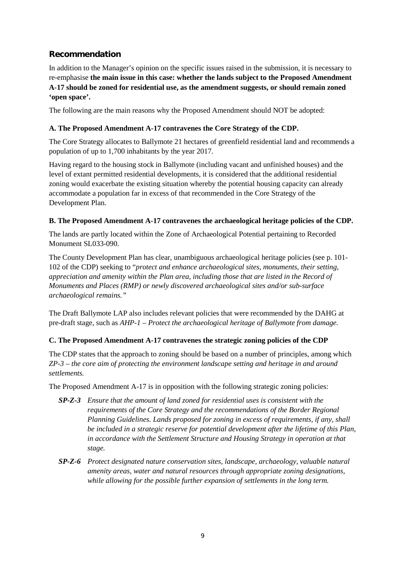## **Recommendation**

In addition to the Manager's opinion on the specific issues raised in the submission, it is necessary to re-emphasise **the main issue in this case: whether the lands subject to the Proposed Amendment A-17 should be zoned for residential use, as the amendment suggests, or should remain zoned 'open space'.**

The following are the main reasons why the Proposed Amendment should NOT be adopted:

#### **A. The Proposed Amendment A-17 contravenes the Core Strategy of the CDP.**

The Core Strategy allocates to Ballymote 21 hectares of greenfield residential land and recommends a population of up to 1,700 inhabitants by the year 2017.

Having regard to the housing stock in Ballymote (including vacant and unfinished houses) and the level of extant permitted residential developments, it is considered that the additional residential zoning would exacerbate the existing situation whereby the potential housing capacity can already accommodate a population far in excess of that recommended in the Core Strategy of the Development Plan.

#### **B. The Proposed Amendment A-17 contravenes the archaeological heritage policies of the CDP.**

The lands are partly located within the Zone of Archaeological Potential pertaining to Recorded Monument SL033-090.

The County Development Plan has clear, unambiguous archaeological heritage policies (see p. 101- 102 of the CDP) seeking to "*protect and enhance archaeological sites, monuments, their setting, appreciation and amenity within the Plan area, including those that are listed in the Record of Monuments and Places (RMP) or newly discovered archaeological sites and/or sub-surface archaeological remains."*

The Draft Ballymote LAP also includes relevant policies that were recommended by the DAHG at pre-draft stage, such as *AHP-1 – Protect the archaeological heritage of Ballymote from damage.*

#### **C. The Proposed Amendment A-17 contravenes the strategic zoning policies of the CDP**

The CDP states that the approach to zoning should be based on a number of principles, among which *ZP-3 – the core aim of protecting the environment landscape setting and heritage in and around settlements.*

The Proposed Amendment A-17 is in opposition with the following strategic zoning policies:

- *SP-Z-3 Ensure that the amount of land zoned for residential uses is consistent with the requirements of the Core Strategy and the recommendations of the Border Regional Planning Guidelines. Lands proposed for zoning in excess of requirements, if any, shall be included in a strategic reserve for potential development after the lifetime of this Plan, in accordance with the Settlement Structure and Housing Strategy in operation at that stage.*
- *SP-Z-6 Protect designated nature conservation sites, landscape, archaeology, valuable natural amenity areas, water and natural resources through appropriate zoning designations, while allowing for the possible further expansion of settlements in the long term.*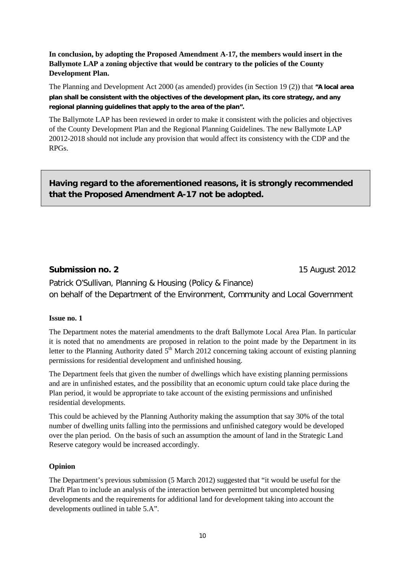## **In conclusion, by adopting the Proposed Amendment A-17, the members would insert in the Ballymote LAP a zoning objective that would be contrary to the policies of the County Development Plan.**

The Planning and Development Act 2000 (as amended) provides (in Section 19 (2)) that **"A local area plan shall be consistent with the objectives of the development plan, its core strategy, and any regional planning guidelines that apply to the area of the plan".**

The Ballymote LAP has been reviewed in order to make it consistent with the policies and objectives of the County Development Plan and the Regional Planning Guidelines. The new Ballymote LAP 20012-2018 should not include any provision that would affect its consistency with the CDP and the RPGs.

**Having regard to the aforementioned reasons, it is strongly recommended that the Proposed Amendment A-17 not be adopted.**

## **Submission no. 2** 15 August 2012

Patrick O'Sullivan, Planning & Housing (Policy & Finance) on behalf of the Department of the Environment, Community and Local Government

#### **Issue no. 1**

The Department notes the material amendments to the draft Ballymote Local Area Plan. In particular it is noted that no amendments are proposed in relation to the point made by the Department in its letter to the Planning Authority dated  $5<sup>th</sup>$  March 2012 concerning taking account of existing planning permissions for residential development and unfinished housing.

The Department feels that given the number of dwellings which have existing planning permissions and are in unfinished estates, and the possibility that an economic upturn could take place during the Plan period, it would be appropriate to take account of the existing permissions and unfinished residential developments.

This could be achieved by the Planning Authority making the assumption that say 30% of the total number of dwelling units falling into the permissions and unfinished category would be developed over the plan period. On the basis of such an assumption the amount of land in the Strategic Land Reserve category would be increased accordingly.

#### **Opinion**

The Department's previous submission (5 March 2012) suggested that "it would be useful for the Draft Plan to include an analysis of the interaction between permitted but uncompleted housing developments and the requirements for additional land for development taking into account the developments outlined in table 5.A".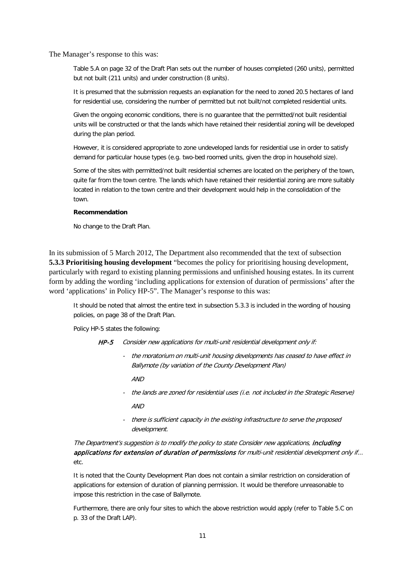The Manager's response to this was:

Table 5.A on page 32 of the Draft Plan sets out the number of houses completed (260 units), permitted but not built (211 units) and under construction (8 units).

It is presumed that the submission requests an explanation for the need to zoned 20.5 hectares of land for residential use, considering the number of permitted but not built/not completed residential units.

Given the ongoing economic conditions, there is no guarantee that the permitted/not built residential units will be constructed or that the lands which have retained their residential zoning will be developed during the plan period.

However, it is considered appropriate to zone undeveloped lands for residential use in order to satisfy demand for particular house types (e.g. two-bed roomed units, given the drop in household size).

Some of the sites with permitted/not built residential schemes are located on the periphery of the town, quite far from the town centre. The lands which have retained their residential zoning are more suitably located in relation to the town centre and their development would help in the consolidation of the town.

#### **Recommendation**

No change to the Draft Plan.

In its submission of 5 March 2012, The Department also recommended that the text of subsection **5.3.3 Prioritising housing development** "becomes the policy for prioritising housing development, particularly with regard to existing planning permissions and unfinished housing estates. In its current form by adding the wording 'including applications for extension of duration of permissions' after the word 'applications' in Policy HP-5". The Manager's response to this was:

It should be noted that almost the entire text in subsection 5.3.3 is included in the wording of housing policies, on page 38 of the Draft Plan.

Policy HP-5 states the following:

HP-5 Consider new applications for multi-unit residential development only if:

- the moratorium on multi-unit housing developments has ceased to have effect in Ballymote (by variation of the County Development Plan)

 $AND$ 

- the lands are zoned for residential uses (i.e. not included in the Strategic Reserve) AND
- there is sufficient capacity in the existing infrastructure to serve the proposed development.

The Department's suggestion is to modify the policy to state Consider new applications, including applications for extension of duration of permissions for multi-unit residential development only if... etc.

It is noted that the County Development Plan does not contain a similar restriction on consideration of applications for extension of duration of planning permission. It would be therefore unreasonable to impose this restriction in the case of Ballymote.

Furthermore, there are only four sites to which the above restriction would apply (refer to Table 5.C on p. 33 of the Draft LAP).